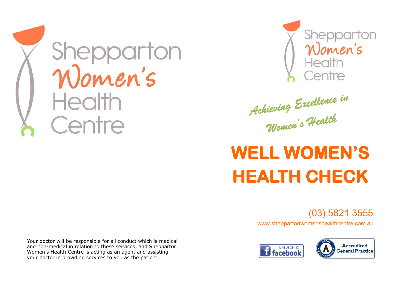



Achieving Excellence in

## **WELL WOMEN'S HEALTH CHECK**

(03) 5821 3555

www.sheppartonwomenshealthcentre.com.au





Your doctor will be responsible for all conduct which is medical and non-medical in relation to these services, and Shepparton Women's Health Centre is acting as an agent and assisting your doctor in providing services to you as the patient.